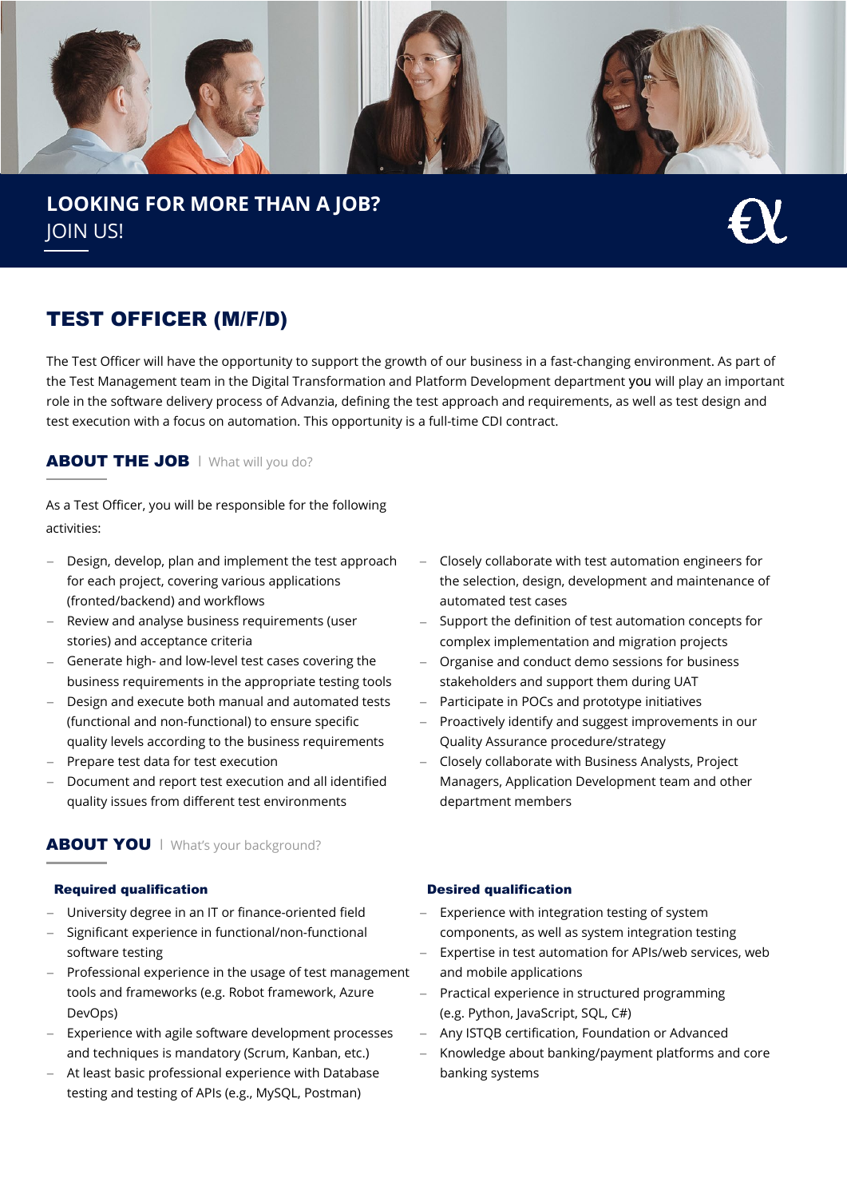

**LOOKING FOR MORE THAN A JOB?** JOIN US!

# TEST OFFICER (M/F/D)

The Test Officer will have the opportunity to support the growth of our business in a fast-changing environment. As part of the Test Management team in the Digital Transformation and Platform Development department you will play an important role in the software delivery process of Advanzia, defining the test approach and requirements, as well as test design and test execution with a focus on automation. This opportunity is a full-time CDI contract.

## ABOUT THE JOB | What will you do?

As a Test Officer, you will be responsible for the following activities:

- − Design, develop, plan and implement the test approach for each project, covering various applications (fronted/backend) and workflows
- Review and analyse business requirements (user stories) and acceptance criteria
- − Generate high- and low-level test cases covering the business requirements in the appropriate testing tools
- − Design and execute both manual and automated tests (functional and non-functional) to ensure specific quality levels according to the business requirements
- − Prepare test data for test execution
- Document and report test execution and all identified quality issues from different test environments

## ABOUT YOU | What's your background?

### Required qualification **Desimally** Desired qualification

- University degree in an IT or finance-oriented field
- − Significant experience in functional/non-functional software testing
- − Professional experience in the usage of test management tools and frameworks (e.g. Robot framework, Azure DevOps)
- − Experience with agile software development processes and techniques is mandatory (Scrum, Kanban, etc.)
- − At least basic professional experience with Database testing and testing of APIs (e.g., MySQL, Postman)
- − Closely collaborate with test automation engineers for the selection, design, development and maintenance of automated test cases
- Support the definition of test automation concepts for complex implementation and migration projects
- − Organise and conduct demo sessions for business stakeholders and support them during UAT
- Participate in POCs and prototype initiatives
- − Proactively identify and suggest improvements in our Quality Assurance procedure/strategy
- − Closely collaborate with Business Analysts, Project Managers, Application Development team and other department members

- − Experience with integration testing of system components, as well as system integration testing
- − Expertise in test automation for APIs/web services, web and mobile applications
- − Practical experience in structured programming (e.g. Python, JavaScript, SQL, C#)
- − Any ISTQB certification, Foundation or Advanced
- − Knowledge about banking/payment platforms and core banking systems